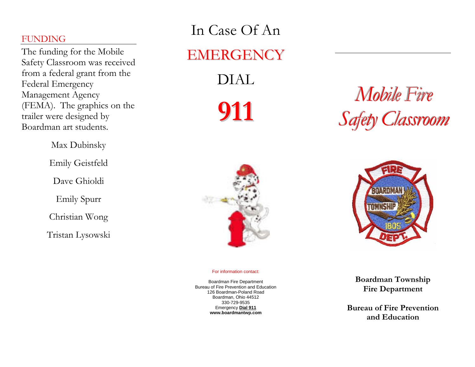## FUNDING

The funding for the Mobile Safety Classroom was received from a federal grant from the Federal Emergency Management Agency (FEMA). The graphics on the trailer were designed by Boardman art students.

Max Dubinsky

Emily Geistfeld

Dave Ghioldi

Emily Spurr

Christian Wong

Tristan Lysowski

## In Case Of An EMERGENCY DIAL

**911**

# *Mobile Fire ile Fir Safety Classroom f l*



#### For information contact:

Boardman Fire Department Bureau of Fire Prevention and Education 126 Boardman-Poland Road Boardman, Ohio 44512 330-729-9535 Emergency **Dial 911 www.boardmantwp.com** 



**Boardman Township Fire Department** 

**Bureau of Fire Prevention and Education**